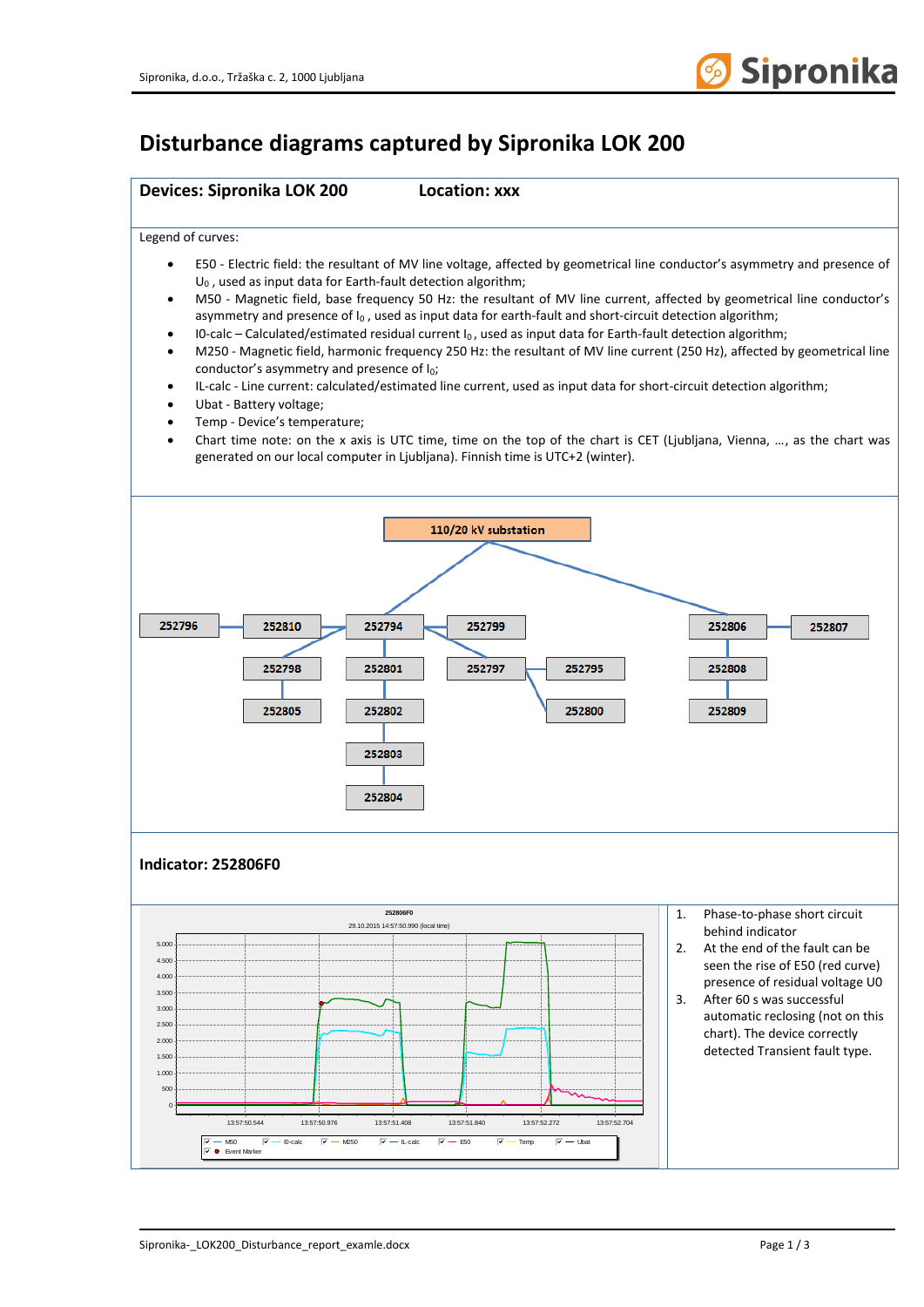

## **Disturbance diagrams captured by Sipronika LOK 200**

## **Devices: Sipronika LOK 200 Location: xxx** Legend of curves: • E50 - Electric field: the resultant of MV line voltage, affected by geometrical line conductor's asymmetry and presence of  $U_0$ , used as input data for Earth-fault detection algorithm; • M50 - Magnetic field, base frequency 50 Hz: the resultant of MV line current, affected by geometrical line conductor's asymmetry and presence of  $I_0$ , used as input data for earth-fault and short-circuit detection algorithm; I0-calc – Calculated/estimated residual current  $I_0$ , used as input data for Earth-fault detection algorithm; • M250 - Magnetic field, harmonic frequency 250 Hz: the resultant of MV line current (250 Hz), affected by geometrical line conductor's asymmetry and presence of  $I_0$ ; • IL-calc - Line current: calculated/estimated line current, used as input data for short-circuit detection algorithm; • Ubat - Battery voltage; • Temp - Device's temperature; • Chart time note: on the x axis is UTC time, time on the top of the chart is CET (Ljubljana, Vienna, …, as the chart was generated on our local computer in Ljubljana). Finnish time is UTC+2 (winter). 110/20 kV substation 252796 252810 252794 252799 252806 252807 252798 252801 252795 252808 252797 252805 252802 252800 252809 252803 252804 **Indicator: 252806F0 252806F0** 1. Phase-to-phase short circuit 29.10.2015 14:57:50.990 (local time) behind indicator 5.000 2. At the end of the fault can be 4.500 seen the rise of E50 (red curve) 4.00 presence of residual voltage U0 3.50 3. After 60 s was successful 3.000 automatic reclosing (not on this 2.500 chart). The device correctly 2.00 detected Transient fault type. 1.500 1.000 500 013:57:50.544 13:57:50.976 13:57:51.408 13:57:51.840 13:57:52.272 13:57:52.704 @fedecb M50 gfedcbalc @fedexb50 gfedecbalc @fedecb @fedecbat gfedcbat<br>12. DefentMarker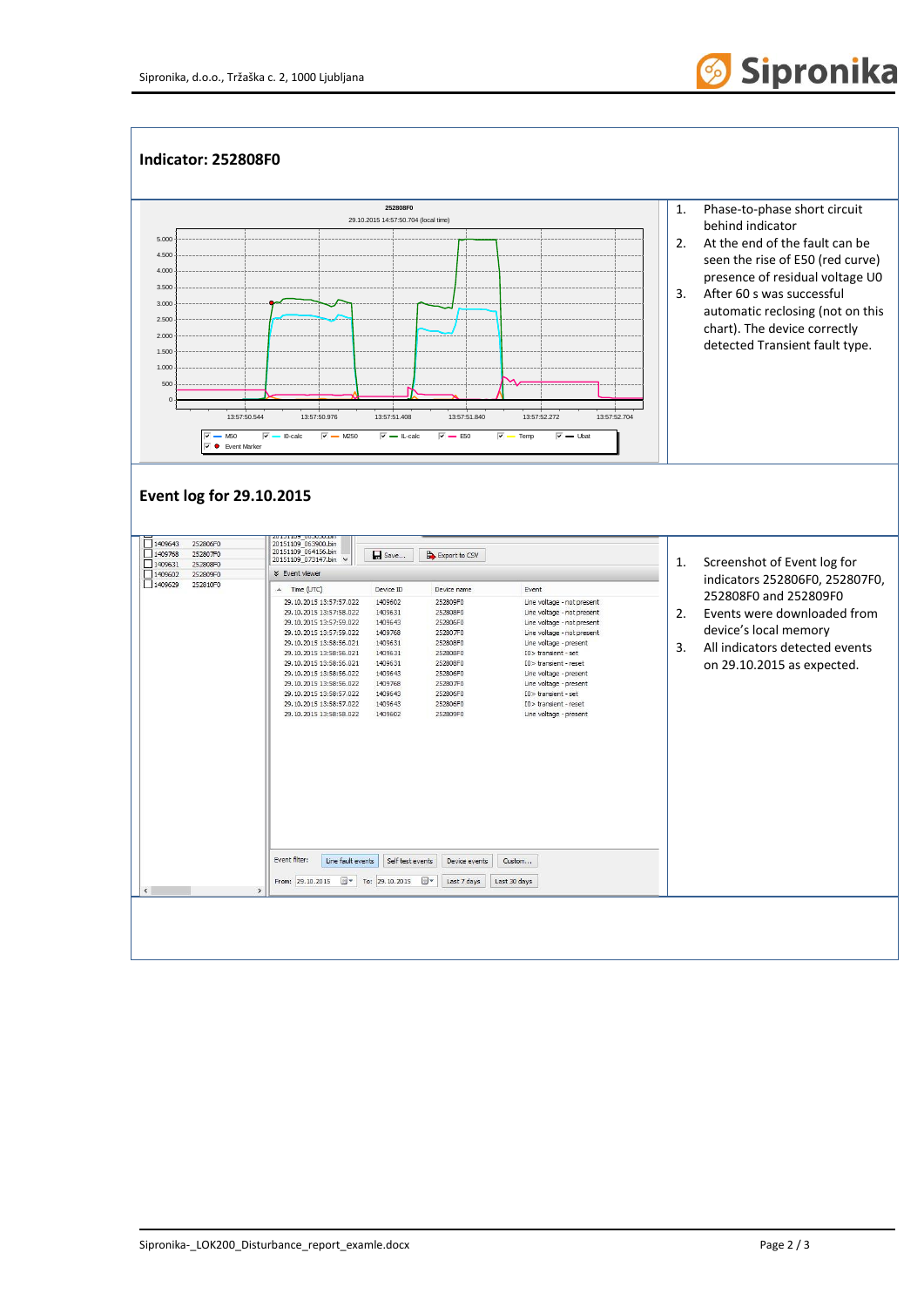

## **Indicator: 252808F0 252808F0** 1. Phase-to-phase short circuit 29.10.2015 14:57:50.704 (local time) behind indicator 5.000 2. At the end of the fault can be 4.500 seen the rise of E50 (red curve) 4.00 presence of residual voltage U0 3.50 3. After 60 s was successful 3.000 automatic reclosing (not on this 2.500 chart). The device correctly 2.00 detected Transient fault type. 1.500 1.000 500 013:57:50.544 13:57:50.976 13:57:51.408 13:57:51.840 13:57:52.272 13:57:52.704  $\boxed{\nabla}$  M50  $\boxed{\nabla}$  M250  $\boxed{\nabla}$  M250  $\boxed{\nabla}$  Li-calc  $\boxed{\nabla}$  E50  $\boxed{\nabla}$  Temp  $\boxed{\nabla}$  Ubat  $\overline{z}$   $\bullet$  Event Marker **Event log for 29.10.2015** □ 1409643<br>□ 1409768<br>□ 1409631<br>□ 1409602<br>□ 1409629 20151109\_063900.bin<br>20151109\_063900.bin<br>20151109\_064156.bin 25280650 252806F0<br>252807F0<br>252808F0  $\Box$  Save... Export to CSV  $_{\check{}}$ 1. Screenshot of Event log for 252809F0 **×** Event viewe indicators 252806F0, 252807F0, 25280910 Time (UTC) Device ID Device name Event 252808F0 and 252809F0 29.10.2015 13:57:57.022 1409602 252809F0 Line voltage - not present Line voltage - not present<br>Line voltage - not present<br>Line voltage - not present 29.10.2015 13:57:58.022 1409631 252808F0 2. Events were downloaded from 29.10.2015 13:57:59.022 1409643 252806F0 29.10.2015 13:57:59.022 1409768 252807F0 device's local memory 29.10.2015 13:58:56.021 1409631 252808E0 Line voltage - present 3. All indicators detected events 29.10.2015 13:58:56.021 1409631<br>1409631 252808F0 IO> transient - set<br>IO> transient - reset 252808F0 on 29.10.2015 as expected. 29.10.2015 13:58:56.022 1409643 252806F0 Line voltage - present 29.10.2015 13:58:56.022 1409768 252807E0 Line voltage - present<br>IO> transient - set 29.10.2015 13:58:57.022 1409643 252806F0 29.10.2015 13:58:57.022 1409643 252806F0  $I0$  > transient - reset 29.10.2015 13:58:58.022 1409602 25280950 Line voltage - present Event filter: Line fault events | Self test events | Device events | Custom...